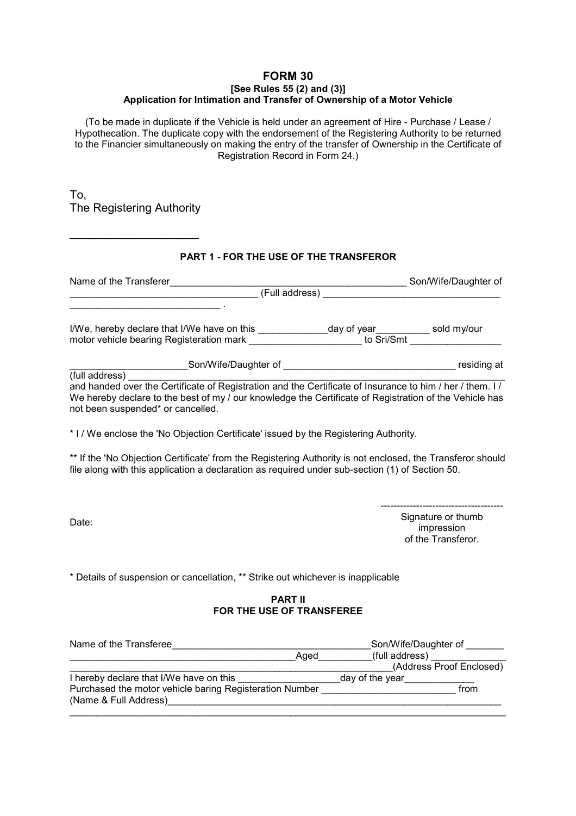#### **FORM 30 [See Rules 55 (2) and (3)] Application for Intimation and Transfer of Ownership of a Motor Vehicle**

(To be made in duplicate if the Vehicle is held under an agreement of Hire - Purchase / Lease / Hypothecation. The duplicate copy with the endorsement of the Registering Authority to be returned to the Financier simultaneously on making the entry of the transfer of Ownership in the Certificate of Registration Record in Form 24.)

To, The Registering Authority

 $\overline{\phantom{a}}$  , where  $\overline{\phantom{a}}$  , where  $\overline{\phantom{a}}$  , where  $\overline{\phantom{a}}$ 

# **PART 1 - FOR THE USE OF THE TRANSFEROR**

| Name of the Transferer                                                                                                                                                                                                                                   | Son/Wife/Daughter of |
|----------------------------------------------------------------------------------------------------------------------------------------------------------------------------------------------------------------------------------------------------------|----------------------|
| (Full address)                                                                                                                                                                                                                                           |                      |
|                                                                                                                                                                                                                                                          |                      |
| I/We, hereby declare that I/We have on this                                                                                                                                                                                                              | sold my/our          |
| motor vehicle bearing Registeration mark to Sri/Smt to Sri/Smt                                                                                                                                                                                           |                      |
| Son/Wife/Daughter of                                                                                                                                                                                                                                     | residing at          |
| (full address)                                                                                                                                                                                                                                           |                      |
| and handed over the Certificate of Registration and the Certificate of Insurance to him / her / them. I /<br>We hereby declare to the best of my / our knowledge the Certificate of Registration of the Vehicle has<br>not been suspended* or cancelled. |                      |

\* I / We enclose the 'No Objection Certificate' issued by the Registering Authority.

\*\* If the 'No Objection Certificate' from the Registering Authority is not enclosed, the Transferor should file along with this application a declaration as required under sub-section (1) of Section 50.

Date:

 -------------------------------------- Signature or thumb impression of the Transferor.

\* Details of suspension or cancellation, \*\* Strike out whichever is inapplicable

## **PART II FOR THE USE OF TRANSFEREE**

| Name of the Transferee                                  |      | Son/Wife/Daughter of     |
|---------------------------------------------------------|------|--------------------------|
|                                                         | Aged | (full address)           |
|                                                         |      | (Address Proof Enclosed) |
| I hereby declare that I/We have on this                 |      | day of the year          |
| Purchased the motor vehicle baring Registeration Number |      | from                     |
| (Name & Full Address)                                   |      |                          |
|                                                         |      |                          |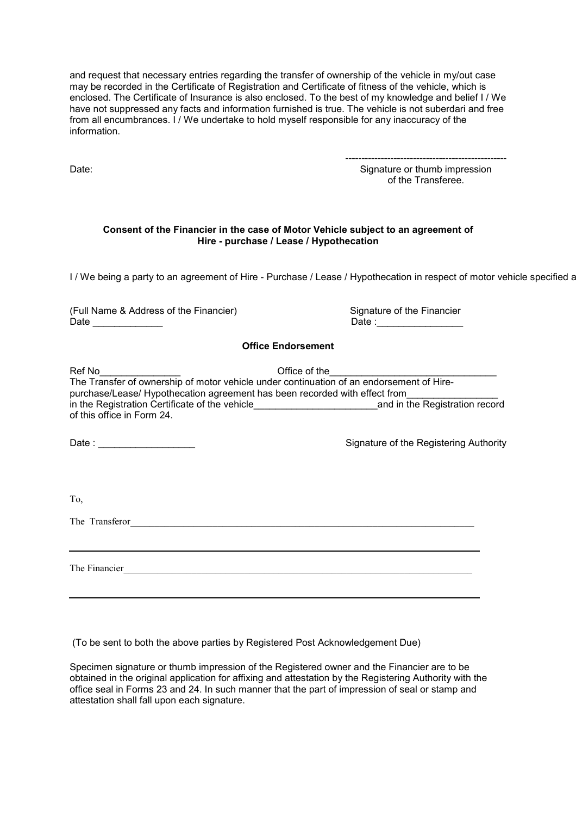and request that necessary entries regarding the transfer of ownership of the vehicle in my/out case may be recorded in the Certificate of Registration and Certificate of fitness of the vehicle, which is enclosed. The Certificate of Insurance is also enclosed. To the best of my knowledge and belief I / We have not suppressed any facts and information furnished is true. The vehicle is not suberdari and free from all encumbrances. I / We undertake to hold myself responsible for any inaccuracy of the information.

Date:

 -------------------------------------------------- Signature or thumb impression of the Transferee.

#### **Consent of the Financier in the case of Motor Vehicle subject to an agreement of Hire - purchase / Lease / Hypothecation**

I / We being a party to an agreement of Hire - Purchase / Lease / Hypothecation in respect of motor vehicle specified a

(Full Name & Address of the Financier) Signature of the Financier

 $Date : \_$ 

## **Office Endorsement**

| of this office in Form 24.  | Ref No<br>The Transfer of ownership of motor vehicle under continuation of an endorsement of Hire-<br>purchase/Lease/ Hypothecation agreement has been recorded with effect from |  |  |
|-----------------------------|----------------------------------------------------------------------------------------------------------------------------------------------------------------------------------|--|--|
| Date: _____________________ | Signature of the Registering Authority                                                                                                                                           |  |  |
| To,                         |                                                                                                                                                                                  |  |  |
| The Transferor              |                                                                                                                                                                                  |  |  |
| The Financier               |                                                                                                                                                                                  |  |  |

(To be sent to both the above parties by Registered Post Acknowledgement Due)

Specimen signature or thumb impression of the Registered owner and the Financier are to be obtained in the original application for affixing and attestation by the Registering Authority with the office seal in Forms 23 and 24. In such manner that the part of impression of seal or stamp and attestation shall fall upon each signature.